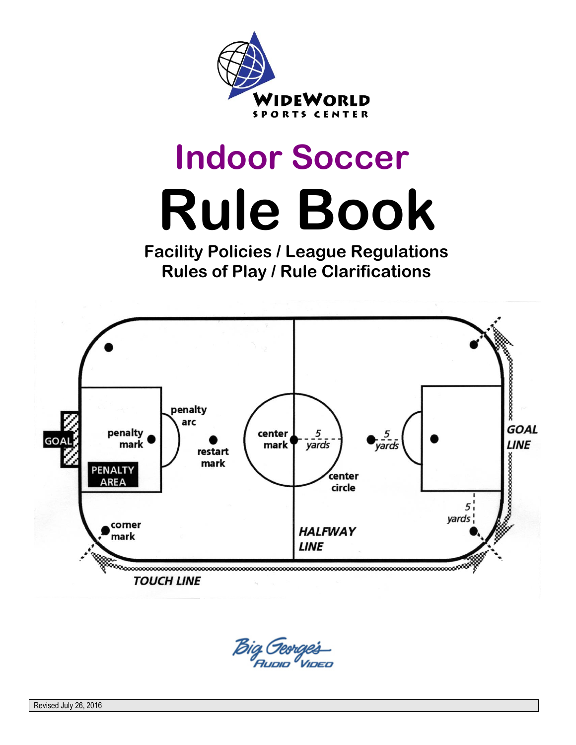

# **Indoor Soccer Rule Book**

 **Facility Policies / League Regulations Rules of Play / Rule Clarifications**



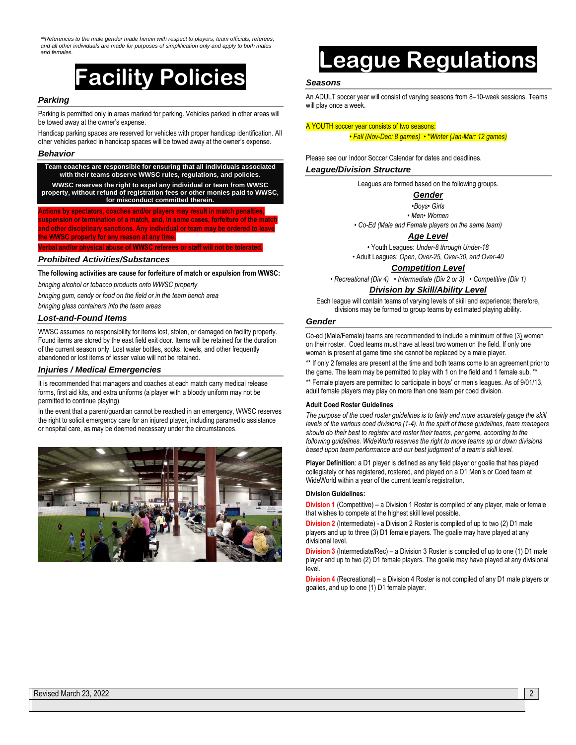*\*\*References to the male gender made herein with respect to players, team officials, referees, and all other individuals are made for purposes of simplification only and apply to both males and females.*

## **Facility Policies**

#### *Parking*

Parking is permitted only in areas marked for parking. Vehicles parked in other areas will be towed away at the owner's expense.

Handicap parking spaces are reserved for vehicles with proper handicap identification. All other vehicles parked in handicap spaces will be towed away at the owner's expense.

#### *Behavior*

**Team coaches are responsible for ensuring that all individuals associated with their teams observe WWSC rules, regulations, and policies. WWSC reserves the right to expel any individual or team from WWSC property, without refund of registration fees or other monies paid to WWSC, for misconduct committed therein. Actions by spectators, coaches and/or players may result in match penalties, suspension or termination of a match, and, in some cases, forfeiture of the match and other disciplinary sanctions. Any individual or team may be ordered to leave the WWSC property for any reason at any time.** 

**Verbal and/or physical abuse of WWSC referees or staff will not be tolerated.**

#### *Prohibited Activities/Substances*

**The following activities are cause for forfeiture of match or expulsion from WWSC:**

*bringing alcohol or tobacco products onto WWSC property*

*bringing gum, candy or food on the field or in the team bench area*

*bringing glass containers into the team areas*

#### *Lost-and-Found Items*

WWSC assumes no responsibility for items lost, stolen, or damaged on facility property. Found items are stored by the east field exit door. Items will be retained for the duration of the current season only. Lost water bottles, socks, towels, and other frequently abandoned or lost items of lesser value will not be retained.

#### *Injuries / Medical Emergencies*

It is recommended that managers and coaches at each match carry medical release forms, first aid kits, and extra uniforms (a player with a bloody uniform may not be permitted to continue playing).

In the event that a parent/guardian cannot be reached in an emergency, WWSC reserves the right to solicit emergency care for an injured player, including paramedic assistance or hospital care, as may be deemed necessary under the circumstances.



## **League Regulations**

#### *Seasons*

An ADULT soccer year will consist of varying seasons from 8–10-week sessions. Teams will play once a week.

#### A YOUTH soccer year consists of two seasons:

• *Fall (Nov-Dec: 8 games)* • \**Winter (Jan-Mar: 12 games)* 

Please see our Indoor Soccer Calendar for dates and deadlines.

#### *League/Division Structure*

Leagues are formed based on the following groups.

#### *Gender*

•*Boys*• *Girls*

• *Men*• *Women*

• *Co-Ed (Male and Female players on the same team)*

*Age Level*

• Youth Leagues: *Under-8 through Under-18*  • Adult Leagues: *Open, Over-25, Over-30, and Over-40*

*Competition Level*

• *Recreational (Div 4)* • *Intermediate (Div 2 or 3)* • *Competitive (Div 1)*

#### *Division by Skill/Ability Level*

Each league will contain teams of varying levels of skill and experience; therefore, divisions may be formed to group teams by estimated playing ability.

#### *Gender*

Co-ed (Male/Female) teams are recommended to include a minimum of five (3) women on their roster. Coed teams must have at least two women on the field. If only one woman is present at game time she cannot be replaced by a male player.

\*\* If only 2 females are present at the time and both teams come to an agreement prior to the game. The team may be permitted to play with 1 on the field and 1 female sub. \*

\*\* Female players are permitted to participate in boys' or men's leagues. As of 9/01/13, adult female players may play on more than one team per coed division.

#### **Adult Coed Roster Guidelines**

*The purpose of the coed roster guidelines is to fairly and more accurately gauge the skill levels of the various coed divisions (1-4). In the spirit of these guidelines, team managers should do their best to register and roster their teams, per game, according to the following guidelines. WideWorld reserves the right to move teams up or down divisions based upon team performance and our best judgment of a team's skill level.*

**Player Definition**: a D1 player is defined as any field player or goalie that has played collegiately or has registered, rostered, and played on a D1 Men's or Coed team at WideWorld within a year of the current team's registration.

#### **Division Guidelines:**

**Division 1** (Competitive) – a Division 1 Roster is compiled of any player, male or female that wishes to compete at the highest skill level possible.

**Division 2** (Intermediate) - a Division 2 Roster is compiled of up to two (2) D1 male players and up to three (3) D1 female players. The goalie may have played at any divisional level.

**Division 3** (Intermediate/Rec) – a Division 3 Roster is compiled of up to one (1) D1 male player and up to two (2) D1 female players. The goalie may have played at any divisional level.

**Division 4** (Recreational) – a Division 4 Roster is not compiled of any D1 male players or goalies, and up to one (1) D1 female player.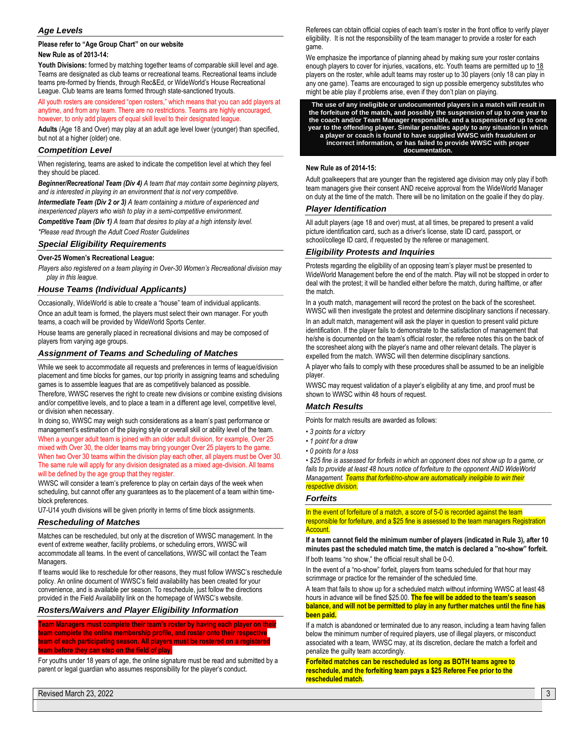#### *Age Levels*

#### **Please refer to "Age Group Chart" on our website**

#### **New Rule as of 2013-14:**

**Youth Divisions:** formed by matching together teams of comparable skill level and age. Teams are designated as club teams or recreational teams. Recreational teams include teams pre-formed by friends, through Rec&Ed, or WideWorld's House Recreational League. Club teams are teams formed through state-sanctioned tryouts.

All youth rosters are considered "open rosters," which means that you can add players at anytime, and from any team. There are no restrictions. Teams are highly encouraged, however, to only add players of equal skill level to their designated league.

**Adults** (Age 18 and Over) may play at an adult age level lower (younger) than specified, but not at a higher (older) one.

#### *Competition Level*

When registering, teams are asked to indicate the competition level at which they feel they should be placed.

*Beginner/Recreational Team (Div 4) A team that may contain some beginning players, and is interested in playing in an environment that is not very competitive.*

*Intermediate Team (Div 2 or 3) A team containing a mixture of experienced and inexperienced players who wish to play in a semi-competitive environment.*

*Competitive Team (Div 1) A team that desires to play at a high intensity level.*

*\*Please read through the Adult Coed Roster Guidelines*

#### *Special Eligibility Requirements*

#### **Over-25 Women's Recreational League:**

*Players also registered on a team playing in Over-30 Women's Recreational division may play in this league.*

#### *House Teams (Individual Applicants)*

Occasionally, WideWorld is able to create a "house" team of individual applicants. Once an adult team is formed, the players must select their own manager. For youth teams, a coach will be provided by WideWorld Sports Center.

House teams are generally placed in recreational divisions and may be composed of players from varying age groups.

#### *Assignment of Teams and Scheduling of Matches*

While we seek to accommodate all requests and preferences in terms of league/division placement and time blocks for games, our top priority in assigning teams and scheduling games is to assemble leagues that are as competitively balanced as possible. Therefore, WWSC reserves the right to create new divisions or combine existing divisions and/or competitive levels, and to place a team in a different age level, competitive level,

or division when necessary. In doing so, WWSC may weigh such considerations as a team's past performance or management's estimation of the playing style or overall skill or ability level of the team. When a younger adult team is joined with an older adult division, for example, Over 25 mixed with Over 30, the older teams may bring younger Over 25 players to the game. When two Over 30 teams within the division play each other, all players must be Over 30. The same rule will apply for any division designated as a mixed age-division. All teams will be defined by the age group that they register.

WWSC will consider a team's preference to play on certain days of the week when scheduling, but cannot offer any guarantees as to the placement of a team within timeblock preferences.

U7-U14 youth divisions will be given priority in terms of time block assignments.

#### *Rescheduling of Matches*

Matches can be rescheduled, but only at the discretion of WWSC management. In the event of extreme weather, facility problems, or scheduling errors, WWSC will accommodate all teams. In the event of cancellations, WWSC will contact the Team Managers.

If teams would like to reschedule for other reasons, they must follow WWSC's reschedule policy. An online document of WWSC's field availability has been created for your convenience, and is available per season. To reschedule, just follow the directions provided in the Field Availability link on the homepage of WWSC's website.

#### *Rosters/Waivers and Player Eligibility Information*

**Team Managers must complete their team's roster by having each player on their team complete the online membership profile, and roster onto their respective team of each participating season. All players must be rostered on a registered team before they can step on the field of play.**

For youths under 18 years of age, the online signature must be read and submitted by a parent or legal guardian who assumes responsibility for the player's conduct.

Referees can obtain official copies of each team's roster in the front office to verify player eligibility. It is not the responsibility of the team manager to provide a roster for each game.

We emphasize the importance of planning ahead by making sure your roster contains enough players to cover for injuries, vacations, etc. Youth teams are permitted up to 18 players on the roster, while adult teams may roster up to 30 players (only 18 can play in any one game). Teams are encouraged to sign up possible emergency substitutes who might be able play if problems arise, even if they don't plan on playing.

**The use of any ineligible or undocumented players in a match will result in the forfeiture of the match, and possibly the suspension of up to one year to the coach and/or Team Manager responsible, and a suspension of up to one year to the offending player. Similar penalties apply to any situation in which a player or coach is found to have supplied WWSC with fraudulent or incorrect information, or has failed to provide WWSC with proper documentation.**

#### **New Rule as of 2014-15:**

Adult goalkeepers that are younger than the registered age division may only play if both team managers give their consent AND receive approval from the WideWorld Manager on duty at the time of the match. There will be no limitation on the goalie if they do play.

#### *Player Identification*

All adult players (age 18 and over) must, at all times, be prepared to present a valid picture identification card, such as a driver's license, state ID card, passport, or school/college ID card, if requested by the referee or management.

#### *Eligibility Protests and Inquiries*

Protests regarding the eligibility of an opposing team's player must be presented to WideWorld Management before the end of the match. Play will not be stopped in order to deal with the protest; it will be handled either before the match, during halftime, or after the match.

In a youth match, management will record the protest on the back of the scoresheet. WWSC will then investigate the protest and determine disciplinary sanctions if necessary. In an adult match, management will ask the player in question to present valid picture identification. If the player fails to demonstrate to the satisfaction of management that he/she is documented on the team's official roster, the referee notes this on the back of the scoresheet along with the player's name and other relevant details. The player is expelled from the match. WWSC will then determine disciplinary sanctions.

A player who fails to comply with these procedures shall be assumed to be an ineligible player.

WWSC may request validation of a player's eligibility at any time, and proof must be shown to WWSC within 48 hours of request.

#### *Match Results*

Points for match results are awarded as follows:

- *3 points for a victory*
- *1 point for a draw*
- *0 points for a loss*

*• \$25 fine is assessed for forfeits in which an opponent does not show up to a game, or fails to provide at least 48 hours notice of forfeiture to the opponent AND WideWorld Management. Teams that forfeit/no-show are automatically ineligible to win their respective division.*

#### *Forfeits*

In the event of forfeiture of a match, a score of 5-0 is recorded against the team responsible for forfeiture, and a \$25 fine is assessed to the team managers Registration **Account** 

**If a team cannot field the minimum number of players (indicated in Rule 3), after 10 minutes past the scheduled match time, the match is declared a "no-show" forfeit.** If both teams "no show," the official result shall be 0-0.

In the event of a "no-show" forfeit, players from teams scheduled for that hour may scrimmage or practice for the remainder of the scheduled time.

A team that fails to show up for a scheduled match without informing WWSC at least 48 hours in advance will be fined \$25.00. **The fee will be added to the team's season balance, and will not be permitted to play in any further matches until the fine has been paid.**

If a match is abandoned or terminated due to any reason, including a team having fallen below the minimum number of required players, use of illegal players, or misconduct associated with a team, WWSC may, at its discretion, declare the match a forfeit and penalize the guilty team accordingly.

**Forfeited matches can be rescheduled as long as BOTH teams agree to reschedule, and the forfeiting team pays a \$25 Referee Fee prior to the rescheduled match.**

Revised March 23, 2022 3 . The state of the state of the state of the state of the state of the state of the state of the state of the state of the state of the state of the state of the state of the state of the state of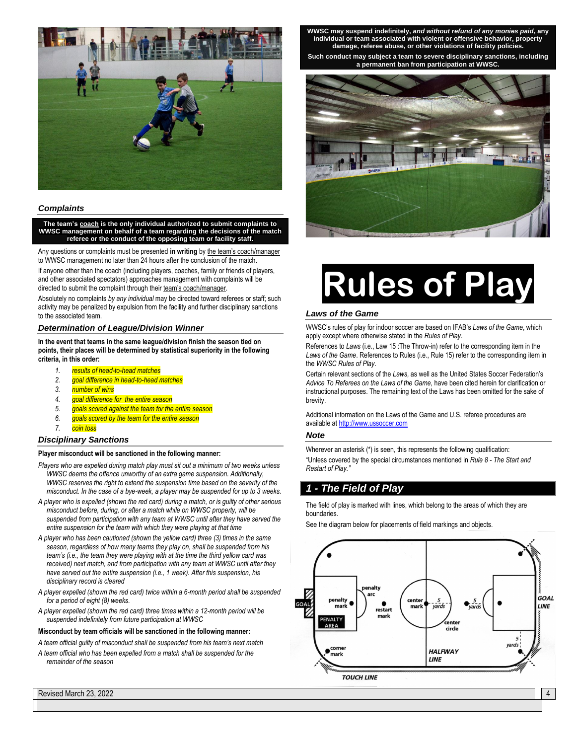

#### *Complaints*

**The team's coach is the only individual authorized to submit complaints to WWSC management on behalf of a team regarding the decisions of the match referee or the conduct of the opposing team or facility staff.**

Any questions or complaints must be presented **in writing** by the team's coach/manager to WWSC management no later than 24 hours after the conclusion of the match.

If anyone other than the coach (including players, coaches, family or friends of players, and other associated spectators) approaches management with complaints will be directed to submit the complaint through their team's coach/manager.

Absolutely no complaints *by any individual* may be directed toward referees or staff; such activity may be penalized by expulsion from the facility and further disciplinary sanctions to the associated team.

#### *Determination of League/Division Winner*

**In the event that teams in the same league/division finish the season tied on points, their places will be determined by statistical superiority in the following criteria, in this order:**

- *1. results of head-to-head matches*
- *2. goal difference in head-to-head matches*
- *3. number of wins*
- *4. goal difference for the entire season*
- *5. goals scored against the team for the entire season*
- *6. goals scored by the team for the entire season*
- *7. coin toss*

#### *Disciplinary Sanctions*

#### **Player misconduct will be sanctioned in the following manner:**

- *Players who are expelled during match play must sit out a minimum of two weeks unless WWSC deems the offence unworthy of an extra game suspension. Additionally, WWSC reserves the right to extend the suspension time based on the severity of the misconduct. In the case of a bye-week, a player may be suspended for up to 3 weeks.*
- *A player who is expelled (shown the red card) during a match, or is guilty of other serious misconduct before, during, or after a match while on WWSC property, will be suspended from participation with any team at WWSC until after they have served the entire suspension for the team with which they were playing at that time*
- *A player who has been cautioned (shown the yellow card) three (3) times in the same season, regardless of how many teams they play on, shall be suspended from his team's (i.e., the team they were playing with at the time the third yellow card was received) next match, and from participation with any team at WWSC until after they have served out the entire suspension (i.e., 1 week). After this suspension, his disciplinary record is cleared*
- *A player expelled (shown the red card) twice within a 6-month period shall be suspended for a period of eight (8) weeks.*
- *A player expelled (shown the red card) three times within a 12-month period will be suspended indefinitely from future participation at WWSC*

#### **Misconduct by team officials will be sanctioned in the following manner:**

*A team official guilty of misconduct shall be suspended from his team's next match*

*A team official who has been expelled from a match shall be suspended for the remainder of the season*

**WWSC may suspend indefinitely,** *and without refund of any monies paid***, any individual or team associated with violent or offensive behavior, property damage, referee abuse, or other violations of facility policies.**

**Such conduct may subject a team to severe disciplinary sanctions, including a permanent ban from participation at WWSC.**



## **Rules of Play**

#### *Laws of the Game*

WWSC's rules of play for indoor soccer are based on IFAB's *Laws of the Game*, which apply except where otherwise stated in the *Rules of Play*.

References to *Laws* (i.e., Law 15 :The Throw-in) refer to the corresponding item in the *Laws of the Game*. References to Rules (i.e., Rule 15) refer to the corresponding item in the *WWSC Rules of Play*.

Certain relevant sections of the *Laws,* as well as the United States Soccer Federation's *Advice To Referees on the Laws of the Game,* have been cited herein for clarification or instructional purposes. The remaining text of the Laws has been omitted for the sake of brevity.

Additional information on the Laws of the Game and U.S. referee procedures are available a[t http://www.ussoccer.com](http://www.ussoccer.com/)

#### *Note*

Wherever an asterisk (\*) is seen, this represents the following qualification: "Unless covered by the special circumstances mentioned in *Rule 8 - The Start and Restart of Play."*

#### *1 - The Field of Play*

The field of play is marked with lines, which belong to the areas of which they are boundaries.

See the diagram below for placements of field markings and objects.

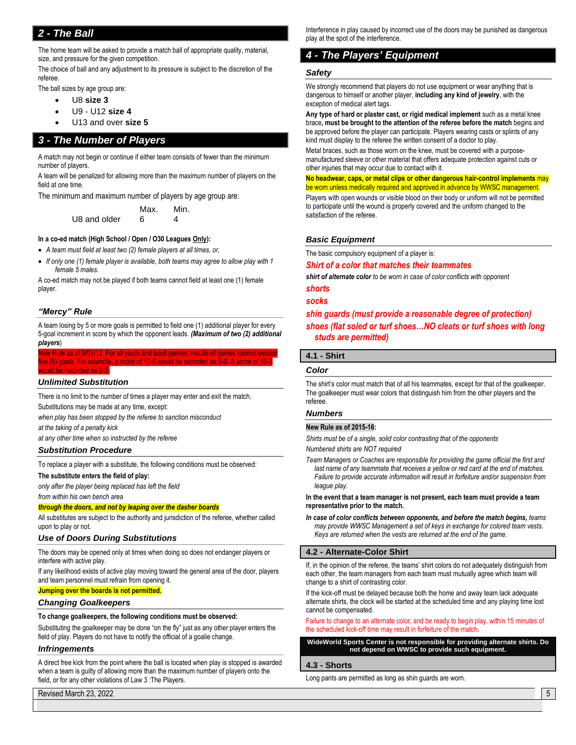#### *2 - The Ball*

The home team will be asked to provide a match ball of appropriate quality, material, size, and pressure for the given competition.

The choice of ball and any adjustment to its pressure is subject to the discretion of the referee.

The ball sizes by age group are:

- U8 **size 3**
- U9 U12 **size 4**
- U13 and over **size 5**

#### *3 - The Number of Players*

A match may not begin or continue if either team consists of fewer than the minimum number of players.

A team will be penalized for allowing more than the maximum number of players on the field at one time.

The minimum and maximum number of players by age group are:

Max. Min. U8 and older 6 4

#### **In a co-ed match (High School / Open / O30 Leagues Only):**

- *A team must field at least two (2) female players at all times, or,*
- *If only one (1) female player is available, both teams may agree to allow play with 1 female 5 males.*

A co-ed match may not be played if both teams cannot field at least one (1) female player.

#### *"Mercy" Rule*

A team losing by 5 or more goals is permitted to field one (1) additional player for every 5-goal increment in score by which the opponent leads. *(Maximum of two (2) additional players*)

#### ew Rule as of 9/01/12: For all youth and adult games, results of games cannot excee ve (5) goals. For example, a score of 10-0 would be recorded as 5-0. A score of 10-3 would be recorded as 8-3.

#### *Unlimited Substitution*

There is no limit to the number of times a player may enter and exit the match. Substitutions may be made at any time, except:

*when play has been stopped by the referee to sanction misconduct*

*at the taking of a penalty kick*

*at any other time when so instructed by the referee*

#### *Substitution Procedure*

To replace a player with a substitute, the following conditions must be observed:

#### **The substitute enters the field of play:**

*only after the player being replaced has left the field*

*from within his own bench area*

#### *through the doors, and not by leaping over the dasher boards*

All substitutes are subject to the authority and jurisdiction of the referee, whether called upon to play or not.

#### *Use of Doors During Substitutions*

The doors may be opened only at times when doing so does not endanger players or interfere with active play.

If any likelihood exists of active play moving toward the general area of the door, players and team personnel must refrain from opening it.

**Jumping over the boards is not permitted.**

#### *Changing Goalkeepers*

#### **To change goalkeepers, the following conditions must be observed:**

Substituting the goalkeeper may be done "on the fly" just as any other player enters the field of play. Players do not have to notify the official of a goalie change.

#### *Infringements*

A direct free kick from the point where the ball is located when play is stopped is awarded when a team is guilty of allowing more than the maximum number of players onto the field, or for any other violations of Law 3 :The Players.

Revised March 23, 2022 **5 Automobile State Control** of the Control of the Control of the Control of the Control of the Control of the Control of the Control of the Control of the Control of the Control of the Control of th

Interference in play caused by incorrect use of the doors may be punished as dangerous play at the spot of the interference.

#### *4 - The Players' Equipment*

#### *Safety*

We strongly recommend that players do not use equipment or wear anything that is dangerous to himself or another player, **including any kind of jewelry**, with the exception of medical alert tags.

**Any type of hard or plaster cast, or rigid medical implement** such as a metal knee brace**, must be brought to the attention of the referee before the match** begins and be approved before the player can participate. Players wearing casts or splints of any kind must display to the referee the written consent of a doctor to play.

Metal braces, such as those worn on the knee, must be covered with a purposemanufactured sleeve or other material that offers adequate protection against cuts or other injuries that may occur due to contact with it.

#### **No headwear, caps, or metal clips or other dangerous hair-control implements** may be worn unless medically required and approved in advance by WWSC management.

Players with open wounds or visible blood on their body or uniform will not be permitted to participate until the wound is properly covered and the uniform changed to the satisfaction of the referee.

#### *Basic Equipment*

The basic compulsory equipment of a player is:

#### *Shirt of a color that matches their teammates*

*shirt of alternate color to be worn in case of color conflicts with opponent*

#### *shorts socks*

#### *shin guards (must provide a reasonable degree of protection)*

#### *shoes (flat soled or turf shoes…NO cleats or turf shoes with long studs are permitted)*

#### **4.1 - Shirt**

#### *Color*

The shirt's color must match that of all his teammates, except for that of the goalkeeper. The goalkeeper must wear colors that distinguish him from the other players and the referee.

#### *Numbers*

#### **New Rule as of 2015-16:**

*Shirts must be of a single, solid color contrasting that of the opponents Numbered shirts are NOT required*

*Team Managers or Coaches are responsible for providing the game official the first and last name of any teammate that receives a yellow or red card at the end of matches. Failure to provide accurate information will result in forfeiture and/or suspension from league play.*

**In the event that a team manager is not present, each team must provide a team representative prior to the match.**

*In case of color conflicts between opponents, and before the match begins, teams may provide WWSC Management a set of keys in exchange for colored team vests. Keys are returned when the vests are returned at the end of the game.*

#### **4.2 - Alternate-Color Shirt**

If, in the opinion of the referee, the teams' shirt colors do not adequately distinguish from each other, the team managers from each team must mutually agree which team will change to a shirt of contrasting color.

If the kick-off must be delayed because both the home and away team lack adequate alternate shirts, the clock will be started at the scheduled time and any playing time lost cannot be compensated.

Failure to change to an alternate color, and be ready to begin play, within 15 minutes of the scheduled kick-off time may result in forfeiture of the match.

**WideWorld Sports Center is not responsible for providing alternate shirts. Do not depend on WWSC to provide such equipment.**

#### **4.3 - Shorts**

Long pants are permitted as long as shin guards are worn.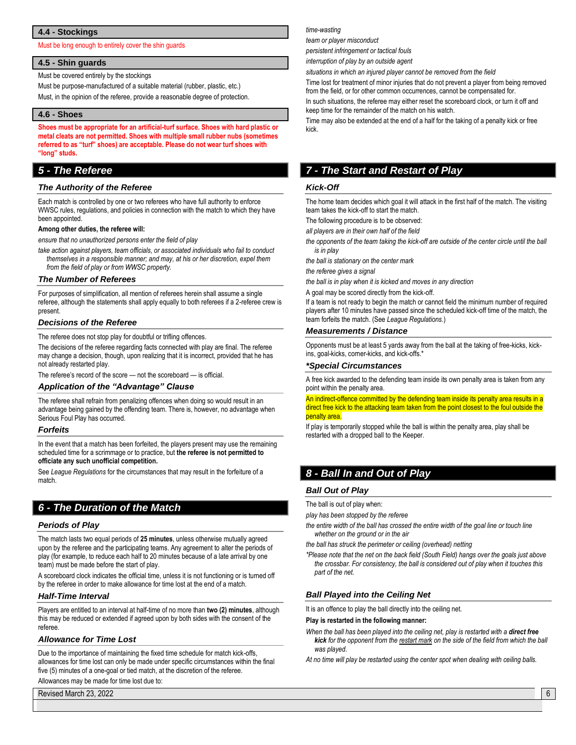#### **4.4 - Stockings**

Must be long enough to entirely cover the shin guards

#### **4.5 - Shin guards**

Must be covered entirely by the stockings

Must be purpose-manufactured of a suitable material (rubber, plastic, etc.) Must, in the opinion of the referee, provide a reasonable degree of protection.

#### **4.6 - Shoes**

**Shoes must be appropriate for an artificial-turf surface. Shoes with hard plastic or metal cleats are not permitted. Shoes with multiple small rubber nubs (sometimes referred to as "turf" shoes) are acceptable. Please do not wear turf shoes with "long" studs.**

#### *5 - The Referee*

#### *The Authority of the Referee*

Each match is controlled by one or two referees who have full authority to enforce WWSC rules, regulations, and policies in connection with the match to which they have been appointed.

#### **Among other duties, the referee will:**

*ensure that no unauthorized persons enter the field of play*

*take action against players, team officials, or associated individuals who fail to conduct themselves in a responsible manner; and may, at his or her discretion, expel them from the field of play or from WWSC property.*

#### *The Number of Referees*

For purposes of simplification, all mention of referees herein shall assume a single referee, although the statements shall apply equally to both referees if a 2-referee crew is present.

#### *Decisions of the Referee*

The referee does not stop play for doubtful or trifling offences.

The decisions of the referee regarding facts connected with play are final. The referee may change a decision, though, upon realizing that it is incorrect, provided that he has not already restarted play.

The referee's record of the score — not the scoreboard — is official.

#### *Application of the "Advantage" Clause*

The referee shall refrain from penalizing offences when doing so would result in an advantage being gained by the offending team. There is, however, no advantage when Serious Foul Play has occurred.

#### *Forfeits*

In the event that a match has been forfeited, the players present may use the remaining scheduled time for a scrimmage or to practice, but **the referee is not permitted to officiate any such unofficial competition.**

See *League Regulations* for the circumstances that may result in the forfeiture of a match.

#### *6 - The Duration of the Match*

#### *Periods of Play*

The match lasts two equal periods of **25 minutes**, unless otherwise mutually agreed upon by the referee and the participating teams. Any agreement to alter the periods of play (for example, to reduce each half to 20 minutes because of a late arrival by one team) must be made before the start of play.

A scoreboard clock indicates the official time, unless it is not functioning or is turned off by the referee in order to make allowance for time lost at the end of a match.

#### *Half-Time Interval*

Players are entitled to an interval at half-time of no more than **two (2) minutes**, although this may be reduced or extended if agreed upon by both sides with the consent of the referee.

#### *Allowance for Time Lost*

Due to the importance of maintaining the fixed time schedule for match kick-offs, allowances for time lost can only be made under specific circumstances within the final five (5) minutes of a one-goal or tied match, at the discretion of the referee.

Allowances may be made for time lost due to:

Revised March 23, 2022 **6 6** 

#### *time-wasting*

*team or player misconduct*

*persistent infringement or tactical fouls*

*interruption of play by an outside agent*

*situations in which an injured player cannot be removed from the field*

Time lost for treatment of minor injuries that do not prevent a player from being removed from the field, or for other common occurrences, cannot be compensated for.

In such situations, the referee may either reset the scoreboard clock, or turn it off and keep time for the remainder of the match on his watch.

Time may also be extended at the end of a half for the taking of a penalty kick or free kick.

#### *7 - The Start and Restart of Play*

#### *Kick-Off*

The home team decides which goal it will attack in the first half of the match. The visiting team takes the kick-off to start the match.

The following procedure is to be observed:

*all players are in their own half of the field*

*the opponents of the team taking the kick-off are outside of the center circle until the ball is in play*

*the ball is stationary on the center mark*

*the referee gives a signal*

*the ball is in play when it is kicked and moves in any direction*

A goal may be scored directly from the kick-off.

If a team is not ready to begin the match or cannot field the minimum number of required players after 10 minutes have passed since the scheduled kick-off time of the match, the team forfeits the match. (See *League Regulations*.)

#### *Measurements / Distance*

Opponents must be at least 5 yards away from the ball at the taking of free-kicks, kickins, goal-kicks, corner-kicks, and kick-offs.'

#### *\*Special Circumstances*

A free kick awarded to the defending team inside its own penalty area is taken from any point within the penalty area.

An indirect-offence committed by the defending team inside its penalty area results in a direct free kick to the attacking team taken from the point closest to the foul outside the penalty area.

If play is temporarily stopped while the ball is within the penalty area, play shall be restarted with a dropped ball to the Keeper.

#### *8 - Ball In and Out of Play*

#### *Ball Out of Play*

The ball is out of play when:

*play has been stopped by the referee*

- *the entire width of the ball has crossed the entire width of the goal line or touch line whether on the ground or in the air*
- *the ball has struck the perimeter or ceiling (overhead) netting*
- *\*Please note that the net on the back field (South Field) hangs over the goals just above the crossbar. For consistency, the ball is considered out of play when it touches this part of the net.*

#### *Ball Played into the Ceiling Net*

It is an offence to play the ball directly into the ceiling net.

#### **Play is restarted in the following manner:**

When the ball has been played into the ceiling net, play is restarted with a direct free *kick for the opponent from the restart mark on the side of the field from which the ball was played.*

*At no time will play be restarted using the center spot when dealing with ceiling balls.*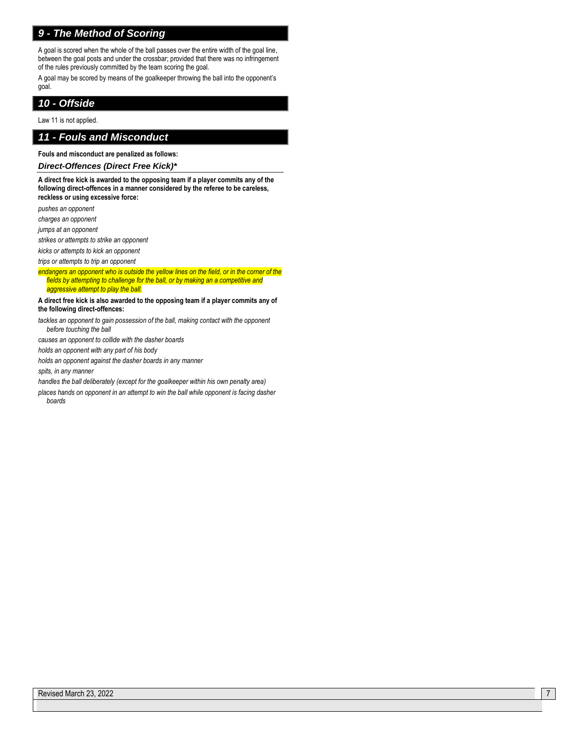#### *9 - The Method of Scoring*

A goal is scored when the whole of the ball passes over the entire width of the goal line, between the goal posts and under the crossbar; provided that there was no infringement of the rules previously committed by the team scoring the goal.

A goal may be scored by means of the goalkeeper throwing the ball into the opponent's goal.

#### *10 - Offside*

Law 11 is not applied.

#### *11 - Fouls and Misconduct*

**Fouls and misconduct are penalized as follows:**

#### *Direct-Offences (Direct Free Kick)\**

**A direct free kick is awarded to the opposing team if a player commits any of the following direct-offences in a manner considered by the referee to be careless, reckless or using excessive force:**

*pushes an opponent*

*charges an opponent*

*jumps at an opponent*

*strikes or attempts to strike an opponent*

*kicks or attempts to kick an opponent*

*trips or attempts to trip an opponent*

*endangers an opponent who is outside the yellow lines on the field, or in the corner of the fields by attempting to challenge for the ball, or by making an a competitive and aggressive attempt to play the ball.*

**A direct free kick is also awarded to the opposing team if a player commits any of the following direct-offences:**

tackles an opponent to gain possession of the ball, making contact with the opponent *before touching the ball*

*causes an opponent to collide with the dasher boards*

*holds an opponent with any part of his body*

*holds an opponent against the dasher boards in any manner*

*spits, in any manner*

*handles the ball deliberately (except for the goalkeeper within his own penalty area)*

*places hands on opponent in an attempt to win the ball while opponent is facing dasher boards*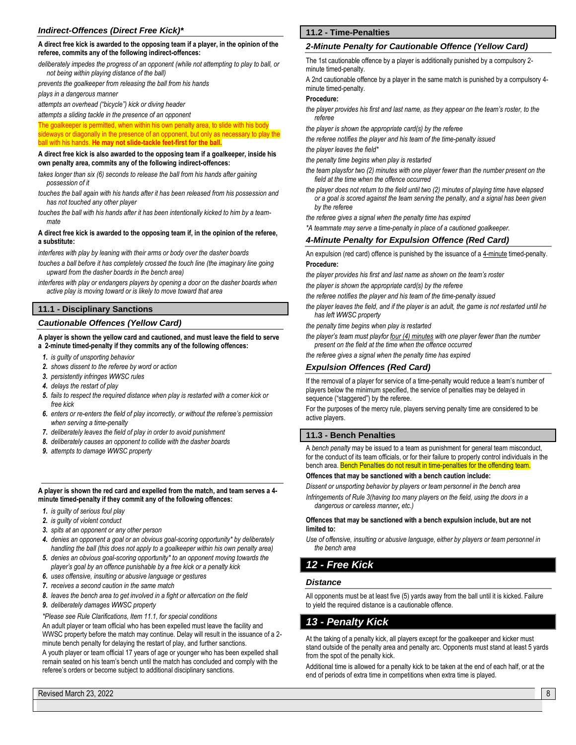#### *Indirect-Offences (Direct Free Kick)\**

#### **A direct free kick is awarded to the opposing team if a player, in the opinion of the referee, commits any of the following indirect-offences:**

*deliberately impedes the progress of an opponent (while not attempting to play to ball, or not being within playing distance of the ball)* 

*prevents the goalkeeper from releasing the ball from his hands*

*plays in a dangerous manner*

*attempts an overhead ("bicycle") kick or diving header*

*attempts a sliding tackle in the presence of an opponent*

The goalkeeper is permitted, when within his own penalty area, to slide with his body ways or diagonally in the presence of an opponent, but only as necessary to play the ball with his hands. **He may not slide-tackle feet-first for the ball.**

#### **A direct free kick is also awarded to the opposing team if a goalkeeper, inside his own penalty area, commits any of the following indirect-offences:**

- *takes longer than six (6) seconds to release the ball from his hands after gaining possession of it*
- *touches the ball again with his hands after it has been released from his possession and has not touched any other player*

*touches the ball with his hands after it has been intentionally kicked to him by a teammate*

#### **A direct free kick is awarded to the opposing team if, in the opinion of the referee, a substitute:**

*interferes with play by leaning with their arms or body over the dasher boards*

*touches a ball before it has completely crossed the touch line (the imaginary line going upward from the dasher boards in the bench area)*

*interferes with play or endangers players by opening a door on the dasher boards when active play is moving toward or is likely to move toward that area*

#### **11.1 - Disciplinary Sanctions**

#### *Cautionable Offences (Yellow Card)*

#### **A player is shown the yellow card and cautioned, and must leave the field to serve a 2-minute timed-penalty if they commits any of the following offences:**

- *1. is guilty of unsporting behavior*
- *2. shows dissent to the referee by word or action*
- *3. persistently infringes WWSC rules*
- *4. delays the restart of play*
- *5. fails to respect the required distance when play is restarted with a corner kick or free kick*
- *6. enters or re-enters the field of play incorrectly, or without the referee's permission when serving a time-penalty*
- *7. deliberately leaves the field of play in order to avoid punishment*
- *8. deliberately causes an opponent to collide with the dasher boards*
- *9. attempts to damage WWSC property*

#### **A player is shown the red card and expelled from the match, and team serves a 4 minute timed-penalty if they commit any of the following offences:**

- *1. is guilty of serious foul play*
- *2. is guilty of violent conduct*
- *3. spits at an opponent or any other person*
- *4. denies an opponent a goal or an obvious goal-scoring opportunity\* by deliberately handling the ball (this does not apply to a goalkeeper within his own penalty area)*
- *5. denies an obvious goal-scoring opportunity\* to an opponent moving towards the player's goal by an offence punishable by a free kick or a penalty kick*
- *6. uses offensive, insulting or abusive language or gestures*
- *7. receives a second caution in the same match*
- *8. leaves the bench area to get involved in a fight or altercation on the field*
- *9. deliberately damages WWSC property*

*\*Please see Rule Clarifications, Item 11.1, for special conditions*

An adult player or team official who has been expelled must leave the facility and WWSC property before the match may continue. Delay will result in the issuance of a 2 minute bench penalty for delaying the restart of play, and further sanctions. A youth player or team official 17 years of age or younger who has been expelled shall remain seated on his team's bench until the match has concluded and comply with the referee's orders or become subject to additional disciplinary sanctions.

#### **11.2 - Time-Penalties**

#### *2-Minute Penalty for Cautionable Offence (Yellow Card)*

The 1st cautionable offence by a player is additionally punished by a compulsory 2 minute timed-penalty.

A 2nd cautionable offence by a player in the same match is punished by a compulsory 4 minute timed-penalty.

#### **Procedure:**

- *the player provides his first and last name, as they appear on the team's roster, to the referee*
- *the player is shown the appropriate card(s) by the referee*
- *the referee notifies the player and his team of the time-penalty issued*
- *the player leaves the field\**
- *the penalty time begins when play is restarted*
- *the team playsfor two (2) minutes with one player fewer than the number present on the field at the time when the offence occurred*
- *the player does not return to the field until two (2) minutes of playing time have elapsed or a goal is scored against the team serving the penalty, and a signal has been given by the referee*
- *the referee gives a signal when the penalty time has expired*
- *\*A teammate may serve a time-penalty in place of a cautioned goalkeeper.*

#### *4-Minute Penalty for Expulsion Offence (Red Card)*

An expulsion (red card) offence is punished by the issuance of a 4-minute timed-penalty. **Procedure:**

*the player provides his first and last name as shown on the team's roster*

*the player is shown the appropriate card(s) by the referee*

- *the referee notifies the player and his team of the time-penalty issued*
- *the player leaves the field, and if the player is an adult, the game is not restarted until he has left WWSC property*
- *the penalty time begins when play is restarted*
- *the player's team must playfor four (4) minutes with one player fewer than the number present on the field at the time when the offence occurred*
- *the referee gives a signal when the penalty time has expired*

#### *Expulsion Offences (Red Card)*

If the removal of a player for service of a time-penalty would reduce a team's number of players below the minimum specified, the service of penalties may be delayed in sequence ("staggered") by the referee.

For the purposes of the mercy rule, players serving penalty time are considered to be active players.

#### **11.3 - Bench Penalties**

A *bench penalty* may be issued to a team as punishment for general team misconduct, for the conduct of its team officials, or for their failure to properly control individuals in the bench area. Bench Penalties do not result in time-penalties for the offending team.

#### **Offences that may be sanctioned with a bench caution include:**

*Dissent or unsporting behavior by players or team personnel in the bench area*

*Infringements of Rule 3(having too many players on the field, using the doors in a dangerous or careless manner, etc.)*

#### **Offences that may be sanctioned with a bench expulsion include, but are not limited to:**

*Use of offensive, insulting or abusive language, either by players or team personnel in the bench area*

#### *12 - Free Kick*

#### *Distance*

All opponents must be at least five (5) yards away from the ball until it is kicked. Failure to yield the required distance is a cautionable offence.

#### *13 - Penalty Kick*

At the taking of a penalty kick, all players except for the goalkeeper and kicker must stand outside of the penalty area and penalty arc. Opponents must stand at least 5 yards from the spot of the penalty kick.

Additional time is allowed for a penalty kick to be taken at the end of each half, or at the end of periods of extra time in competitions when extra time is played.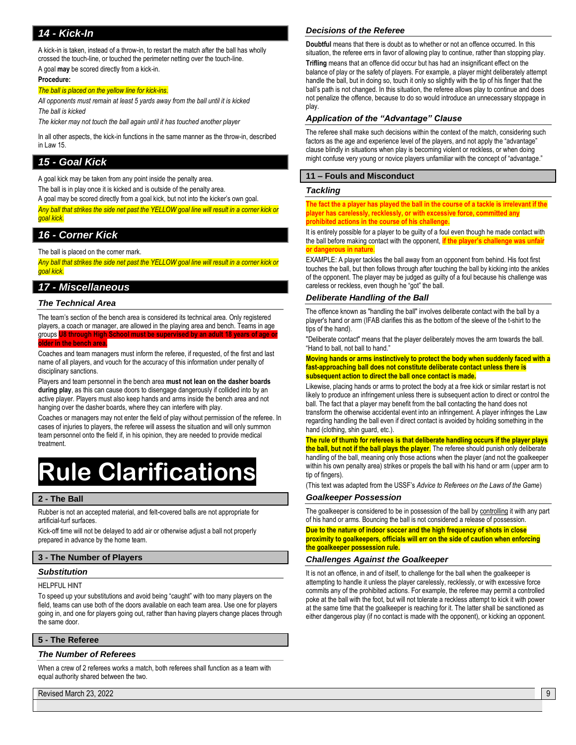#### *14 - Kick-In*

A kick-in is taken, instead of a throw-in, to restart the match after the ball has wholly crossed the touch-line, or touched the perimeter netting over the touch-line. A goal **may** be scored directly from a kick-in.

#### **Procedure:**

#### *The ball is placed on the yellow line for kick-ins.*

*All opponents must remain at least 5 yards away from the ball until it is kicked The ball is kicked*

*The kicker may not touch the ball again until it has touched another player*

In all other aspects, the kick-in functions in the same manner as the throw-in, described in Law 15.

#### *15 - Goal Kick*

A goal kick may be taken from any point inside the penalty area.

The ball is in play once it is kicked and is outside of the penalty area.

A goal may be scored directly from a goal kick, but not into the kicker's own goal.

*Any ball that strikes the side net past the YELLOW goal line will result in a corner kick or goal kick.*

#### *16 - Corner Kick*

The ball is placed on the corner mark.

*Any ball that strikes the side net past the YELLOW goal line will result in a corner kick or goal kick.*

#### *17 - Miscellaneous*

#### *The Technical Area*

The team's section of the bench area is considered its technical area. Only registered players, a coach or manager, are allowed in the playing area and bench. Teams in age groups **U8 through High School must be supervised by an adult 18 years of age or older in the bench area.**

Coaches and team managers must inform the referee, if requested, of the first and last name of all players, and vouch for the accuracy of this information under penalty of disciplinary sanctions.

Players and team personnel in the bench area **must not lean on the dasher boards during play**, as this can cause doors to disengage dangerously if collided into by an active player. Players must also keep hands and arms inside the bench area and not hanging over the dasher boards, where they can interfere with play.

Coaches or managers may not enter the field of play without permission of the referee. In cases of injuries to players, the referee will assess the situation and will only summon team personnel onto the field if, in his opinion, they are needed to provide medical treatment.

## **Rule Clarifications**

#### **2 - The Ball**

Rubber is not an accepted material, and felt-covered balls are not appropriate for artificial-turf surfaces.

Kick-off time will not be delayed to add air or otherwise adjust a ball not properly prepared in advance by the home team.

#### **3 - The Number of Players**

#### *Substitution*

HELPFUL HINT

To speed up your substitutions and avoid being "caught" with too many players on the field, teams can use both of the doors available on each team area. Use one for players going in, and one for players going out, rather than having players change places through the same door.

#### **5 - The Referee**

#### *The Number of Referees*

When a crew of 2 referees works a match, both referees shall function as a team with equal authority shared between the two.

Revised March 23, 2022 **9** 

#### *Decisions of the Referee*

**Doubtful** means that there is doubt as to whether or not an offence occurred. In this situation, the referee errs in favor of allowing play to continue, rather than stopping play. **Trifling** means that an offence did occur but has had an insignificant effect on the balance of play or the safety of players. For example, a player might deliberately attempt handle the ball, but in doing so, touch it only so slightly with the tip of his finger that the ball's path is not changed. In this situation, the referee allows play to continue and does not penalize the offence, because to do so would introduce an unnecessary stoppage in play.

#### *Application of the "Advantage" Clause*

The referee shall make such decisions within the context of the match, considering such factors as the age and experience level of the players, and not apply the "advantage" clause blindly in situations when play is becoming violent or reckless, or when doing might confuse very young or novice players unfamiliar with the concept of "advantage."

#### **11 – Fouls and Misconduct**

#### *Tackling*

**The fact the a player has played the ball in the course of a tackle is irrelevant if the player has carelessly, recklessly, or with excessive force, committed any probibited actions in the course of his challeng** 

It is entirely possible for a player to be guilty of a foul even though he made contact with the ball before making contact with the opponent, **if the player's challenge was unfair or dangerous in nature.** 

EXAMPLE: A player tackles the ball away from an opponent from behind. His foot first touches the ball, but then follows through after touching the ball by kicking into the ankles of the opponent. The player may be judged as guilty of a foul because his challenge was careless or reckless, even though he "got" the ball.

#### *Deliberate Handling of the Ball*

The offence known as "handling the ball" involves deliberate contact with the ball by a player's hand or arm (IFAB clarifies this as the bottom of the sleeve of the t-shirt to the tips of the hand).

"Deliberate contact" means that the player deliberately moves the arm towards the ball. "Hand to ball, not ball to hand."

**Moving hands or arms instinctively to protect the body when suddenly faced with a fast-approaching ball does not constitute deliberate contact unless there is subsequent action to direct the ball once contact is made.**

Likewise, placing hands or arms to protect the body at a free kick or similar restart is not likely to produce an infringement unless there is subsequent action to direct or control the ball. The fact that a player may benefit from the ball contacting the hand does not transform the otherwise accidental event into an infringement. A player infringes the Law regarding handling the ball even if direct contact is avoided by holding something in the hand (clothing, shin guard, etc.).

**The rule of thumb for referees is that deliberate handling occurs if the player plays the ball, but not if the ball plays the player**. The referee should punish only deliberate handling of the ball, meaning only those actions when the player (and not the goalkeeper within his own penalty area) strikes or propels the ball with his hand or arm (upper arm to tip of fingers).

(This text was adapted from the USSF's *Advice to Referees on the Laws of the Game*)

#### *Goalkeeper Possession*

The goalkeeper is considered to be in possession of the ball by controlling it with any part of his hand or arms. Bouncing the ball is not considered a release of possession.

**Due to the nature of indoor soccer and the high frequency of shots in close proximity to goalkeepers, officials will err on the side of caution when enforcing the goalkeeper possession rule.**

#### *Challenges Against the Goalkeeper*

It is not an offence, in and of itself, to challenge for the ball when the goalkeeper is attempting to handle it unless the player carelessly, recklessly, or with excessive force commits any of the prohibited actions. For example, the referee may permit a controlled poke at the ball with the foot, but will not tolerate a reckless attempt to kick it with power at the same time that the goalkeeper is reaching for it. The latter shall be sanctioned as either dangerous play (if no contact is made with the opponent), or kicking an opponent.